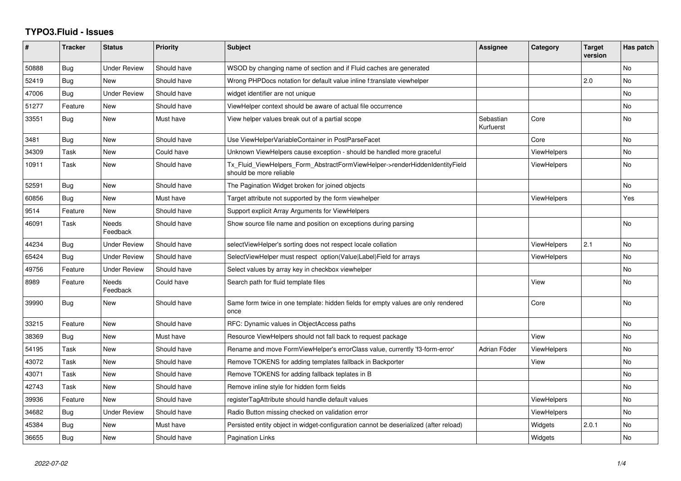## **TYPO3.Fluid - Issues**

| #     | <b>Tracker</b> | <b>Status</b>       | <b>Priority</b> | <b>Subject</b>                                                                                         | Assignee               | Category           | <b>Target</b><br>version | Has patch |
|-------|----------------|---------------------|-----------------|--------------------------------------------------------------------------------------------------------|------------------------|--------------------|--------------------------|-----------|
| 50888 | <b>Bug</b>     | <b>Under Review</b> | Should have     | WSOD by changing name of section and if Fluid caches are generated                                     |                        |                    |                          | <b>No</b> |
| 52419 | <b>Bug</b>     | New                 | Should have     | Wrong PHPDocs notation for default value inline f:translate viewhelper                                 |                        |                    | 2.0                      | <b>No</b> |
| 47006 | <b>Bug</b>     | <b>Under Review</b> | Should have     | widget identifier are not unique                                                                       |                        |                    |                          | <b>No</b> |
| 51277 | Feature        | <b>New</b>          | Should have     | ViewHelper context should be aware of actual file occurrence                                           |                        |                    |                          | <b>No</b> |
| 33551 | Bug            | New                 | Must have       | View helper values break out of a partial scope                                                        | Sebastian<br>Kurfuerst | Core               |                          | No        |
| 3481  | Bug            | New                 | Should have     | Use ViewHelperVariableContainer in PostParseFacet                                                      |                        | Core               |                          | <b>No</b> |
| 34309 | Task           | New                 | Could have      | Unknown ViewHelpers cause exception - should be handled more graceful                                  |                        | <b>ViewHelpers</b> |                          | No        |
| 10911 | Task           | <b>New</b>          | Should have     | Tx_Fluid_ViewHelpers_Form_AbstractFormViewHelper->renderHiddenIdentityField<br>should be more reliable |                        | <b>ViewHelpers</b> |                          | <b>No</b> |
| 52591 | Bug            | New                 | Should have     | The Pagination Widget broken for joined objects                                                        |                        |                    |                          | <b>No</b> |
| 60856 | Bug            | New                 | Must have       | Target attribute not supported by the form viewhelper                                                  |                        | <b>ViewHelpers</b> |                          | Yes       |
| 9514  | Feature        | New                 | Should have     | Support explicit Array Arguments for ViewHelpers                                                       |                        |                    |                          |           |
| 46091 | Task           | Needs<br>Feedback   | Should have     | Show source file name and position on exceptions during parsing                                        |                        |                    |                          | No        |
| 44234 | <b>Bug</b>     | Under Review        | Should have     | selectViewHelper's sorting does not respect locale collation                                           |                        | <b>ViewHelpers</b> | 2.1                      | <b>No</b> |
| 65424 | Bug            | Under Review        | Should have     | SelectViewHelper must respect option(Value Label)Field for arrays                                      |                        | <b>ViewHelpers</b> |                          | <b>No</b> |
| 49756 | Feature        | <b>Under Review</b> | Should have     | Select values by array key in checkbox viewhelper                                                      |                        |                    |                          | <b>No</b> |
| 8989  | Feature        | Needs<br>Feedback   | Could have      | Search path for fluid template files                                                                   |                        | View               |                          | No.       |
| 39990 | Bug            | New                 | Should have     | Same form twice in one template: hidden fields for empty values are only rendered<br>once              |                        | Core               |                          | <b>No</b> |
| 33215 | Feature        | New                 | Should have     | RFC: Dynamic values in ObjectAccess paths                                                              |                        |                    |                          | No        |
| 38369 | Bug            | New                 | Must have       | Resource ViewHelpers should not fall back to request package                                           |                        | View               |                          | No        |
| 54195 | Task           | New                 | Should have     | Rename and move FormViewHelper's errorClass value, currently 'f3-form-error'                           | Adrian Föder           | <b>ViewHelpers</b> |                          | <b>No</b> |
| 43072 | Task           | New                 | Should have     | Remove TOKENS for adding templates fallback in Backporter                                              |                        | View               |                          | No        |
| 43071 | Task           | <b>New</b>          | Should have     | Remove TOKENS for adding fallback teplates in B                                                        |                        |                    |                          | <b>No</b> |
| 42743 | Task           | New                 | Should have     | Remove inline style for hidden form fields                                                             |                        |                    |                          | No        |
| 39936 | Feature        | <b>New</b>          | Should have     | registerTagAttribute should handle default values                                                      |                        | <b>ViewHelpers</b> |                          | <b>No</b> |
| 34682 | Bug            | <b>Under Review</b> | Should have     | Radio Button missing checked on validation error                                                       |                        | <b>ViewHelpers</b> |                          | <b>No</b> |
| 45384 | Bug            | New                 | Must have       | Persisted entity object in widget-configuration cannot be deserialized (after reload)                  |                        | Widgets            | 2.0.1                    | No.       |
| 36655 | Bug            | New                 | Should have     | Pagination Links                                                                                       |                        | Widgets            |                          | <b>No</b> |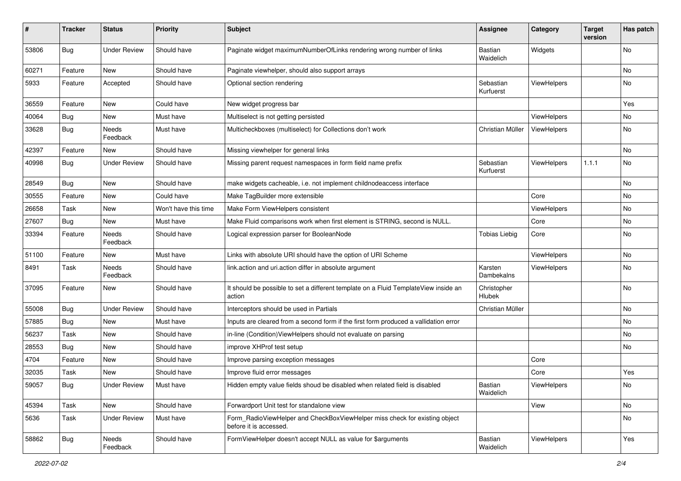| #     | <b>Tracker</b> | <b>Status</b>       | <b>Priority</b>      | <b>Subject</b>                                                                                       | <b>Assignee</b>              | Category           | <b>Target</b><br>version | Has patch |
|-------|----------------|---------------------|----------------------|------------------------------------------------------------------------------------------------------|------------------------------|--------------------|--------------------------|-----------|
| 53806 | Bug            | <b>Under Review</b> | Should have          | Paginate widget maximumNumberOfLinks rendering wrong number of links                                 | <b>Bastian</b><br>Waidelich  | Widgets            |                          | No        |
| 60271 | Feature        | New                 | Should have          | Paginate viewhelper, should also support arrays                                                      |                              |                    |                          | No        |
| 5933  | Feature        | Accepted            | Should have          | Optional section rendering                                                                           | Sebastian<br>Kurfuerst       | ViewHelpers        |                          | No        |
| 36559 | Feature        | New                 | Could have           | New widget progress bar                                                                              |                              |                    |                          | Yes       |
| 40064 | <b>Bug</b>     | New                 | Must have            | Multiselect is not getting persisted                                                                 |                              | ViewHelpers        |                          | No        |
| 33628 | Bug            | Needs<br>Feedback   | Must have            | Multicheckboxes (multiselect) for Collections don't work                                             | Christian Müller             | <b>ViewHelpers</b> |                          | No        |
| 42397 | Feature        | New                 | Should have          | Missing viewhelper for general links                                                                 |                              |                    |                          | No        |
| 40998 | Bug            | <b>Under Review</b> | Should have          | Missing parent request namespaces in form field name prefix                                          | Sebastian<br>Kurfuerst       | ViewHelpers        | 1.1.1                    | No        |
| 28549 | Bug            | New                 | Should have          | make widgets cacheable, i.e. not implement childnodeaccess interface                                 |                              |                    |                          | No        |
| 30555 | Feature        | New                 | Could have           | Make TagBuilder more extensible                                                                      |                              | Core               |                          | No        |
| 26658 | Task           | New                 | Won't have this time | Make Form ViewHelpers consistent                                                                     |                              | ViewHelpers        |                          | No        |
| 27607 | Bug            | New                 | Must have            | Make Fluid comparisons work when first element is STRING, second is NULL.                            |                              | Core               |                          | No        |
| 33394 | Feature        | Needs<br>Feedback   | Should have          | Logical expression parser for BooleanNode                                                            | <b>Tobias Liebig</b>         | Core               |                          | No        |
| 51100 | Feature        | New                 | Must have            | Links with absolute URI should have the option of URI Scheme                                         |                              | ViewHelpers        |                          | No        |
| 8491  | Task           | Needs<br>Feedback   | Should have          | link.action and uri.action differ in absolute argument                                               | Karsten<br>Dambekalns        | ViewHelpers        |                          | No        |
| 37095 | Feature        | New                 | Should have          | It should be possible to set a different template on a Fluid TemplateView inside an<br>action        | Christopher<br><b>Hlubek</b> |                    |                          | No        |
| 55008 | Bug            | <b>Under Review</b> | Should have          | Interceptors should be used in Partials                                                              | Christian Müller             |                    |                          | No        |
| 57885 | Bug            | New                 | Must have            | Inputs are cleared from a second form if the first form produced a vallidation error                 |                              |                    |                          | No        |
| 56237 | Task           | New                 | Should have          | in-line (Condition) View Helpers should not evaluate on parsing                                      |                              |                    |                          | No        |
| 28553 | Bug            | New                 | Should have          | improve XHProf test setup                                                                            |                              |                    |                          | No        |
| 4704  | Feature        | New                 | Should have          | Improve parsing exception messages                                                                   |                              | Core               |                          |           |
| 32035 | Task           | New                 | Should have          | Improve fluid error messages                                                                         |                              | Core               |                          | Yes       |
| 59057 | <b>Bug</b>     | <b>Under Review</b> | Must have            | Hidden empty value fields shoud be disabled when related field is disabled                           | Bastian<br>Waidelich         | ViewHelpers        |                          | No        |
| 45394 | Task           | New                 | Should have          | Forwardport Unit test for standalone view                                                            |                              | View               |                          | No        |
| 5636  | Task           | <b>Under Review</b> | Must have            | Form_RadioViewHelper and CheckBoxViewHelper miss check for existing object<br>before it is accessed. |                              |                    |                          | No        |
| 58862 | Bug            | Needs<br>Feedback   | Should have          | FormViewHelper doesn't accept NULL as value for \$arguments                                          | Bastian<br>Waidelich         | ViewHelpers        |                          | Yes       |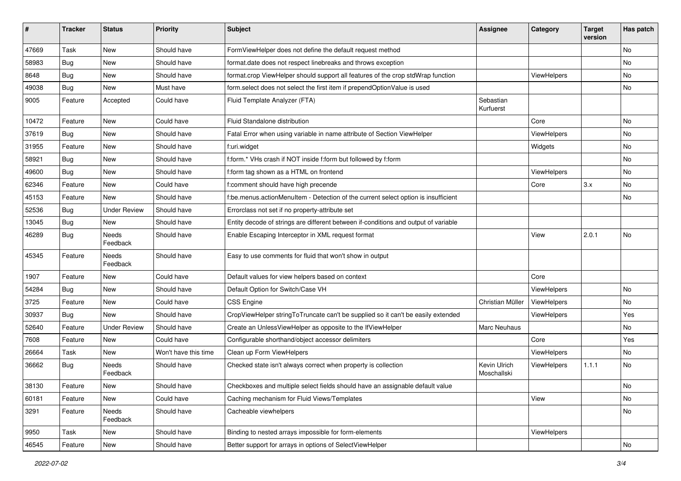| ∦     | <b>Tracker</b> | <b>Status</b>            | <b>Priority</b>      | <b>Subject</b>                                                                      | <b>Assignee</b>             | Category    | <b>Target</b><br>version | Has patch |
|-------|----------------|--------------------------|----------------------|-------------------------------------------------------------------------------------|-----------------------------|-------------|--------------------------|-----------|
| 47669 | Task           | New                      | Should have          | FormViewHelper does not define the default request method                           |                             |             |                          | No        |
| 58983 | Bug            | New                      | Should have          | format.date does not respect linebreaks and throws exception                        |                             |             |                          | No        |
| 8648  | Bug            | New                      | Should have          | format.crop ViewHelper should support all features of the crop stdWrap function     |                             | ViewHelpers |                          | No        |
| 49038 | Bug            | <b>New</b>               | Must have            | form.select does not select the first item if prependOptionValue is used            |                             |             |                          | No        |
| 9005  | Feature        | Accepted                 | Could have           | Fluid Template Analyzer (FTA)                                                       | Sebastian<br>Kurfuerst      |             |                          |           |
| 10472 | Feature        | New                      | Could have           | Fluid Standalone distribution                                                       |                             | Core        |                          | No        |
| 37619 | Bug            | New                      | Should have          | Fatal Error when using variable in name attribute of Section ViewHelper             |                             | ViewHelpers |                          | No        |
| 31955 | Feature        | <b>New</b>               | Should have          | f:uri.widget                                                                        |                             | Widgets     |                          | No        |
| 58921 | <b>Bug</b>     | New                      | Should have          | f:form.* VHs crash if NOT inside f:form but followed by f:form                      |                             |             |                          | No        |
| 49600 | Bug            | New                      | Should have          | f:form tag shown as a HTML on frontend                                              |                             | ViewHelpers |                          | No.       |
| 62346 | Feature        | New                      | Could have           | f:comment should have high precende                                                 |                             | Core        | 3.x                      | No        |
| 45153 | Feature        | New                      | Should have          | f:be.menus.actionMenuItem - Detection of the current select option is insufficient  |                             |             |                          | No        |
| 52536 | Bug            | <b>Under Review</b>      | Should have          | Errorclass not set if no property-attribute set                                     |                             |             |                          |           |
| 13045 | Bug            | New                      | Should have          | Entity decode of strings are different between if-conditions and output of variable |                             |             |                          |           |
| 46289 | Bug            | Needs<br>Feedback        | Should have          | Enable Escaping Interceptor in XML request format                                   |                             | View        | 2.0.1                    | No        |
| 45345 | Feature        | Needs<br>Feedback        | Should have          | Easy to use comments for fluid that won't show in output                            |                             |             |                          |           |
| 1907  | Feature        | New                      | Could have           | Default values for view helpers based on context                                    |                             | Core        |                          |           |
| 54284 | Bug            | New                      | Should have          | Default Option for Switch/Case VH                                                   |                             | ViewHelpers |                          | No        |
| 3725  | Feature        | New                      | Could have           | <b>CSS Engine</b>                                                                   | Christian Müller            | ViewHelpers |                          | No        |
| 30937 | Bug            | <b>New</b>               | Should have          | CropViewHelper stringToTruncate can't be supplied so it can't be easily extended    |                             | ViewHelpers |                          | Yes       |
| 52640 | Feature        | <b>Under Review</b>      | Should have          | Create an UnlessViewHelper as opposite to the IfViewHelper                          | Marc Neuhaus                |             |                          | No        |
| 7608  | Feature        | New                      | Could have           | Configurable shorthand/object accessor delimiters                                   |                             | Core        |                          | Yes       |
| 26664 | Task           | New                      | Won't have this time | Clean up Form ViewHelpers                                                           |                             | ViewHelpers |                          | No        |
| 36662 | Bug            | <b>Needs</b><br>Feedback | Should have          | Checked state isn't always correct when property is collection                      | Kevin Ulrich<br>Moschallski | ViewHelpers | 1.1.1                    | No        |
| 38130 | Feature        | New                      | Should have          | Checkboxes and multiple select fields should have an assignable default value       |                             |             |                          | No        |
| 60181 | Feature        | New                      | Could have           | Caching mechanism for Fluid Views/Templates                                         |                             | View        |                          | No        |
| 3291  | Feature        | Needs<br>Feedback        | Should have          | Cacheable viewhelpers                                                               |                             |             |                          | No        |
| 9950  | Task           | New                      | Should have          | Binding to nested arrays impossible for form-elements                               |                             | ViewHelpers |                          |           |
| 46545 | Feature        | New                      | Should have          | Better support for arrays in options of SelectViewHelper                            |                             |             |                          | No        |